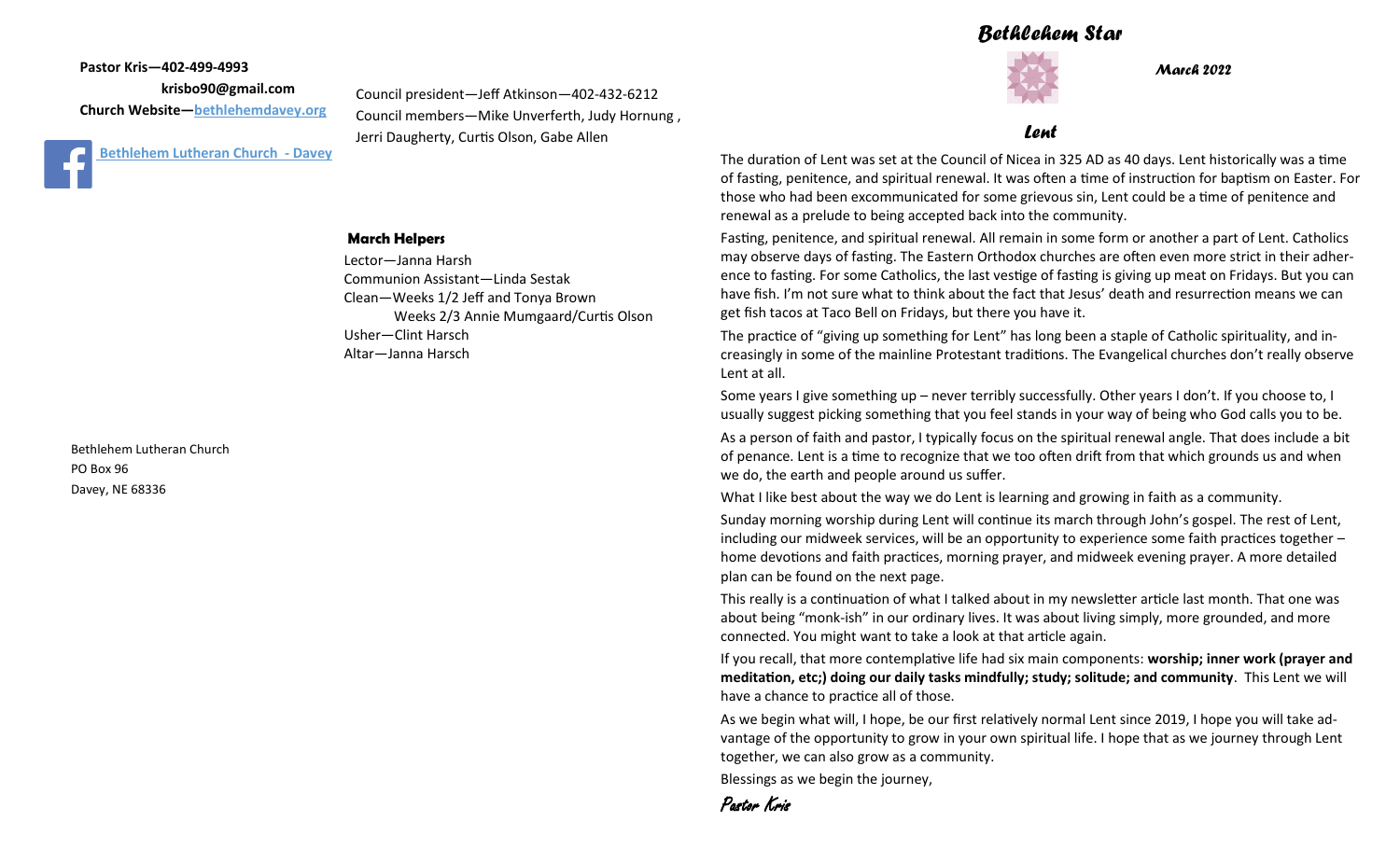## *Bethlehem Star*



*March 2022*

**Pastor Kris—402-499-4993 krisbo90@gmail.com Church Website—<bethlehemdavey.org>**



#### **March Helpers**

Lector—Janna Harsh Communion Assistant—Linda Sestak Clean—Weeks 1/2 Jeff and Tonya Brown Weeks 2/3 Annie Mumgaard/Curtis Olson Usher—Clint Harsch Altar—Janna Harsch

Bethlehem Lutheran Church PO Box 96 Davey, NE 68336

#### *Lent*

The duration of Lent was set at the Council of Nicea in 325 AD as 40 days. Lent historically was a time of fasting, penitence, and spiritual renewal. It was often a time of instruction for baptism on Easter. For those who had been excommunicated for some grievous sin, Lent could be a time of penitence and renewal as a prelude to being accepted back into the community.

Fasting, penitence, and spiritual renewal. All remain in some form or another a part of Lent. Catholics may observe days of fasting. The Eastern Orthodox churches are often even more strict in their adherence to fasting. For some Catholics, the last vestige of fasting is giving up meat on Fridays. But you can have fish. I'm not sure what to think about the fact that Jesus' death and resurrection means we can get fish tacos at Taco Bell on Fridays, but there you have it.

The practice of "giving up something for Lent" has long been a staple of Catholic spirituality, and increasingly in some of the mainline Protestant traditions. The Evangelical churches don't really observe Lent at all.

Some years I give something up – never terribly successfully. Other years I don't. If you choose to, I usually suggest picking something that you feel stands in your way of being who God calls you to be.

As a person of faith and pastor, I typically focus on the spiritual renewal angle. That does include a bit of penance. Lent is a time to recognize that we too often drift from that which grounds us and when we do, the earth and people around us suffer.

What I like best about the way we do Lent is learning and growing in faith as a community.

Sunday morning worship during Lent will continue its march through John's gospel. The rest of Lent, including our midweek services, will be an opportunity to experience some faith practices together – home devotions and faith practices, morning prayer, and midweek evening prayer. A more detailed plan can be found on the next page.

This really is a continuation of what I talked about in my newsletter article last month. That one was about being "monk-ish" in our ordinary lives. It was about living simply, more grounded, and more connected. You might want to take a look at that article again.

If you recall, that more contemplative life had six main components: **worship; inner work (prayer and meditation, etc;) doing our daily tasks mindfully; study; solitude; and community**. This Lent we will have a chance to practice all of those.

As we begin what will, I hope, be our first relatively normal Lent since 2019, I hope you will take advantage of the opportunity to grow in your own spiritual life. I hope that as we journey through Lent together, we can also grow as a community.

Blessings as we begin the journey,